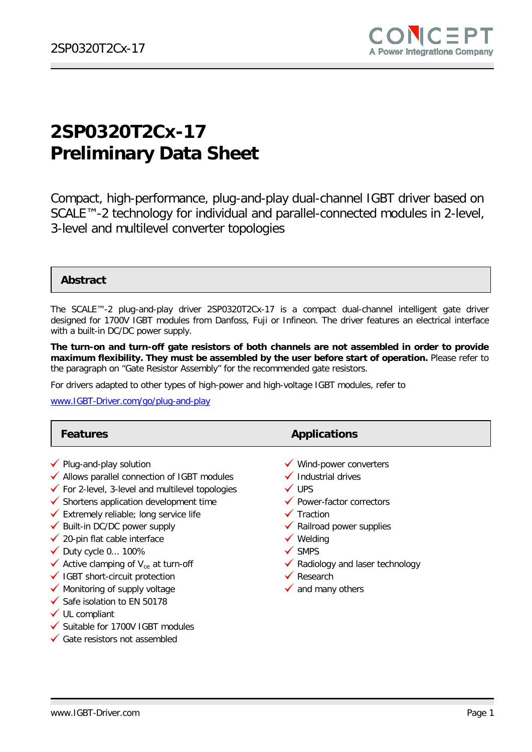

# **2SP0320T2Cx-17 Preliminary Data Sheet**

Compact, high-performance, plug-and-play dual-channel IGBT driver based on SCALE™-2 technology for individual and parallel-connected modules in 2-level, 3-level and multilevel converter topologies

#### **Abstract**

The SCALE™-2 plug-and-play driver 2SP0320T2Cx-17 is a compact dual-channel intelligent gate driver designed for 1700V IGBT modules from Danfoss, Fuji or Infineon. The driver features an electrical interface with a built-in DC/DC power supply.

**The turn-on and turn-off gate resistors of both channels are not assembled in order to provide maximum flexibility. They must be assembled by the user before start of operation.** Please refer to the paragraph on "Gate Resistor Assembly" for the recommended gate resistors.

For drivers adapted to other types of high-power and high-voltage IGBT modules, refer to

[www.IGBT-Driver.com/go/plug-and-play](http://www.igbt-driver.com/go/plug-and-play)

| <b>Features</b>                                                                                                                                                                                                                                                                                                                                                                                                                                                                                                                                                                                                                          | <b>Applications</b>                                                                                                                                                                                                                                                                                                                         |
|------------------------------------------------------------------------------------------------------------------------------------------------------------------------------------------------------------------------------------------------------------------------------------------------------------------------------------------------------------------------------------------------------------------------------------------------------------------------------------------------------------------------------------------------------------------------------------------------------------------------------------------|---------------------------------------------------------------------------------------------------------------------------------------------------------------------------------------------------------------------------------------------------------------------------------------------------------------------------------------------|
| $\checkmark$ Plug-and-play solution<br>◆ Allows parallel connection of IGBT modules<br>$\checkmark$ For 2-level, 3-level and multilevel topologies<br>$\checkmark$ Shortens application development time<br>$\checkmark$ Extremely reliable; long service life<br>◆ Built-in DC/DC power supply<br>$\checkmark$ 20-pin flat cable interface<br>$\checkmark$ Duty cycle 0 100%<br>Active clamping of $V_{ce}$ at turn-off<br>√ IGBT short-circuit protection<br>$\checkmark$ Monitoring of supply voltage<br>Safe isolation to EN 50178<br>$\checkmark$ UL compliant<br>✔ Suitable for 1700V IGBT modules<br>Gate resistors not assembled | $\checkmark$ Wind-power converters<br>$\checkmark$ Industrial drives<br>$\checkmark$ UPS<br>$\checkmark$ Power-factor correctors<br>$\checkmark$ Traction<br>$\checkmark$ Railroad power supplies<br>$\checkmark$ Welding<br>$\checkmark$ SMPS<br>✔ Radiology and laser technology<br>$\checkmark$ Research<br>$\checkmark$ and many others |
|                                                                                                                                                                                                                                                                                                                                                                                                                                                                                                                                                                                                                                          |                                                                                                                                                                                                                                                                                                                                             |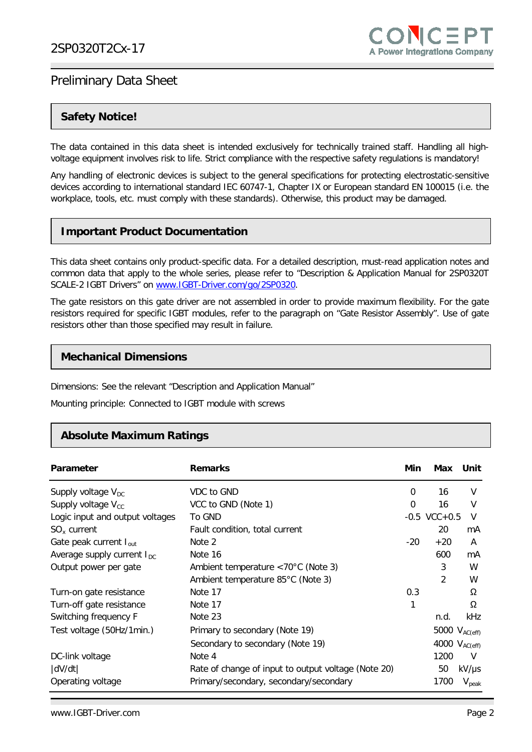### **Safety Notice!**

The data contained in this data sheet is intended exclusively for technically trained staff. Handling all highvoltage equipment involves risk to life. Strict compliance with the respective safety regulations is mandatory!

Any handling of electronic devices is subject to the general specifications for protecting electrostatic-sensitive devices according to international standard IEC 60747-1, Chapter IX or European standard EN 100015 (i.e. the workplace, tools, etc. must comply with these standards). Otherwise, this product may be damaged.

### **Important Product Documentation**

This data sheet contains only product-specific data. For a detailed description, must-read application notes and common data that apply to the whole series, please refer to "Description & Application Manual for 2SP0320T SCALE-2 IGBT Drivers" on [www.IGBT-Driver.com/go/2SP0320.](http://www.igbt-driver.com/go/2SP0320)

The gate resistors on this gate driver are not assembled in order to provide maximum flexibility. For the gate resistors required for specific IGBT modules, refer to the paragraph on "Gate Resistor Assembly". Use of gate resistors other than those specified may result in failure.

#### **Mechanical Dimensions**

Dimensions: See the relevant "Description and Application Manual"

Mounting principle: Connected to IGBT module with screws

#### **Absolute Maximum Ratings**

| Parameter                              | <b>Remarks</b>                                      | Min   | Max                | Unit              |
|----------------------------------------|-----------------------------------------------------|-------|--------------------|-------------------|
| Supply voltage $V_{DC}$                | VDC to GND                                          | 0     | 16                 | V                 |
| Supply voltage $V_{cc}$                | VCC to GND (Note 1)                                 | 0     | 16                 | $\vee$            |
| Logic input and output voltages        | To GND                                              |       | $-0.5$ VCC $+0.5$  | V                 |
| $SOx$ current                          | Fault condition, total current                      |       | 20                 | mA                |
| Gate peak current $I_{out}$            | Note 2                                              | $-20$ | $+20$              | A                 |
| Average supply current $I_{\text{DC}}$ | Note 16                                             |       | 600                | mA                |
| Output power per gate                  | Ambient temperature <70°C (Note 3)                  |       | 3                  | W                 |
|                                        | Ambient temperature 85°C (Note 3)                   |       | 2                  | W                 |
| Turn-on gate resistance                | Note 17                                             | 0.3   |                    | Ω                 |
| Turn-off gate resistance               | Note 17                                             | 1     |                    | Ω                 |
| Switching frequency F                  | Note 23                                             |       | n.d.               | kHz               |
| Test voltage (50Hz/1min.)              | Primary to secondary (Note 19)                      |       | 5000 $V_{AC(eff)}$ |                   |
|                                        | Secondary to secondary (Note 19)                    |       | 4000 $V_{AC(eff)}$ |                   |
| DC-link voltage                        | Note 4                                              |       | 1200               | V                 |
| dV/dt                                  | Rate of change of input to output voltage (Note 20) |       | 50                 | $kV/\mu s$        |
| Operating voltage                      | Primary/secondary, secondary/secondary              |       | 1700               | $V_{\text{peak}}$ |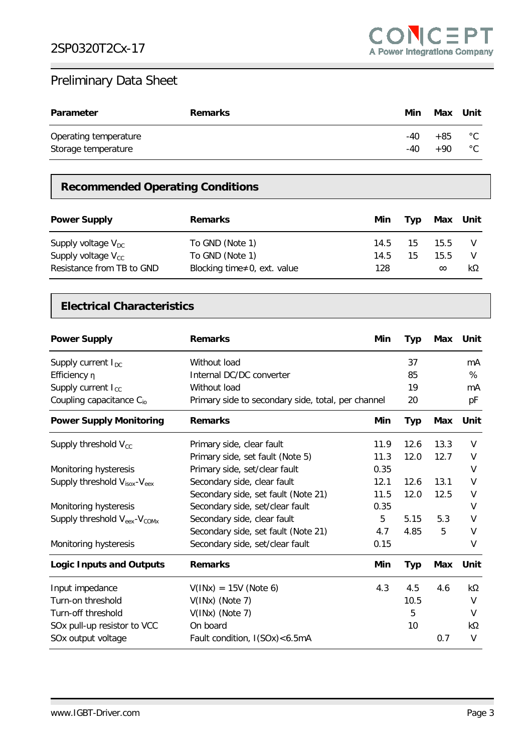| <b>Parameter</b>      | <b>Remarks</b> | Min | Max Unit |              |
|-----------------------|----------------|-----|----------|--------------|
| Operating temperature |                | -40 | +85      | $^{\circ}$ C |
| Storage temperature   |                | -40 | +90      | $^{\circ}$ C |

# **Recommended Operating Conditions**

| <b>Power Supply</b>       | <b>Remarks</b>                      | Min  | Tvp | Max Unit |    |
|---------------------------|-------------------------------------|------|-----|----------|----|
| Supply voltage $V_{DC}$   | To GND (Note 1)                     | 14.5 | 15  | 15.5     |    |
| Supply voltage $V_{cc}$   | To GND (Note 1)                     | 14.5 | 15  | 15.5     |    |
| Resistance from TB to GND | Blocking time $\neq 0$ , ext. value | 128  |     | $\infty$ | kΩ |

### **Electrical Characteristics**

| <b>Power Supply</b>                                  | <b>Remarks</b><br>Min                              |      | <b>Typ</b> | Max        | Unit |
|------------------------------------------------------|----------------------------------------------------|------|------------|------------|------|
| Supply current $I_{DC}$                              | Without load                                       |      | 37         |            | mA   |
| Efficiency n                                         | Internal DC/DC converter                           |      | 85         |            | %    |
| Supply current I <sub>cc</sub>                       | Without load                                       |      | 19         |            | mA   |
| Coupling capacitance $C_{io}$                        | Primary side to secondary side, total, per channel |      | 20         |            | рF   |
| <b>Power Supply Monitoring</b>                       | <b>Remarks</b>                                     | Min  | <b>Typ</b> | Max        | Unit |
| Supply threshold $V_{\text{cc}}$                     | Primary side, clear fault                          | 11.9 | 12.6       | 13.3       | V    |
|                                                      | Primary side, set fault (Note 5)                   | 11.3 | 12.0       | 12.7       | V    |
| Monitoring hysteresis                                | Primary side, set/clear fault                      | 0.35 |            |            | V    |
| Supply threshold $V_{isox}$ - $V_{eex}$              | Secondary side, clear fault                        | 12.1 | 12.6       | 13.1       | V    |
|                                                      | Secondary side, set fault (Note 21)                | 11.5 | 12.0       | 12.5       | V    |
| Monitoring hysteresis                                | Secondary side, set/clear fault                    | 0.35 |            |            | V    |
| Supply threshold V <sub>eex</sub> -V <sub>COMx</sub> | 5<br>Secondary side, clear fault                   |      | 5.15       | 5.3        | V    |
|                                                      | Secondary side, set fault (Note 21)                | 4.7  | 4.85       | 5          | V    |
| Monitoring hysteresis                                | Secondary side, set/clear fault                    | 0.15 |            |            | V    |
| <b>Logic Inputs and Outputs</b>                      | <b>Remarks</b>                                     | Min  | <b>Typ</b> | <b>Max</b> | Unit |
| Input impedance                                      | $V(INx) = 15V (Note 6)$                            | 4.3  | 4.5        | 4.6        | kΩ   |
| Turn-on threshold                                    | $V(INx)$ (Note 7)                                  |      | 10.5       |            | V    |
| Turn-off threshold                                   | $V(INx)$ (Note 7)                                  |      | 5          |            | V    |
| SOx pull-up resistor to VCC                          | On board                                           |      | 10         |            | kΩ   |
| SOx output voltage                                   | Fault condition, I(SOx) < 6.5mA                    |      |            | 0.7        | V    |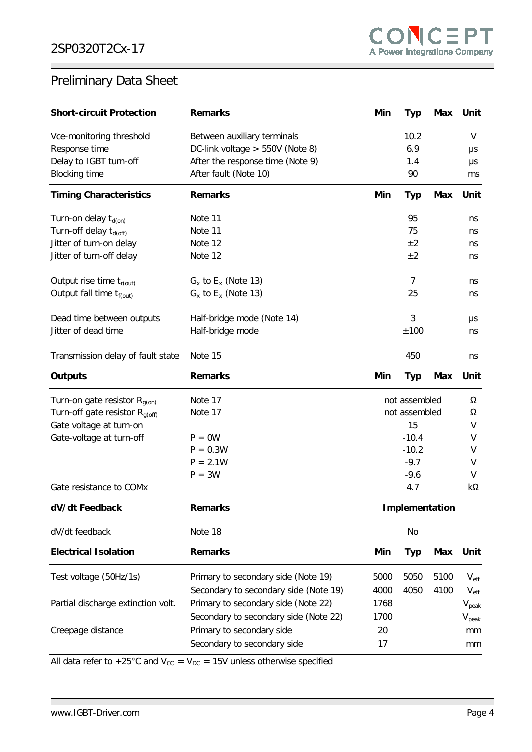| <b>Short-circuit Protection</b>      | <b>Remarks</b>                           | Min                             | Typ        | Max        | Unit              |
|--------------------------------------|------------------------------------------|---------------------------------|------------|------------|-------------------|
| Vce-monitoring threshold             | Between auxiliary terminals              | 10.2                            |            |            | V                 |
| Response time                        | DC-link voltage $> 550V$ (Note 8)<br>6.9 |                                 |            | μs         |                   |
| Delay to IGBT turn-off               | After the response time (Note 9)<br>1.4  |                                 |            | μs         |                   |
| <b>Blocking time</b>                 | After fault (Note 10)<br>90              |                                 |            |            | ms                |
| <b>Timing Characteristics</b>        | <b>Remarks</b>                           | Min<br><b>Typ</b><br><b>Max</b> |            | Unit       |                   |
| Turn-on delay $t_{d(0n)}$            | Note 11                                  |                                 | 95         |            | ns                |
| Turn-off delay t <sub>d(off)</sub>   | Note 11                                  |                                 | 75         |            | ns                |
| Jitter of turn-on delay              | Note 12                                  |                                 | ±2         |            | ns                |
| Jitter of turn-off delay             | Note 12                                  |                                 | ±2         |            | ns                |
| Output rise time $t_{r(out)}$        | $G_x$ to $E_x$ (Note 13)                 |                                 | 7          |            | ns                |
| Output fall time t <sub>f(out)</sub> | $G_x$ to $E_x$ (Note 13)                 |                                 | 25         |            | ns                |
| Dead time between outputs            | Half-bridge mode (Note 14)               |                                 | 3          |            | μs                |
| Jitter of dead time                  | Half-bridge mode                         |                                 | ±100       |            | ns                |
| Transmission delay of fault state    | Note 15                                  | 450                             |            | ns         |                   |
| <b>Outputs</b>                       | <b>Remarks</b>                           | Min                             | <b>Typ</b> | <b>Max</b> | Unit              |
| Turn-on gate resistor $R_{g(0n)}$    | Note 17                                  | not assembled                   |            | Ω          |                   |
| Turn-off gate resistor $R_{g(off)}$  | Note 17                                  | not assembled                   |            | Ω          |                   |
| Gate voltage at turn-on              |                                          | 15                              |            | V          |                   |
| Gate-voltage at turn-off             | $P = 0W$                                 |                                 | $-10.4$    |            | V                 |
|                                      | $P = 0.3W$                               | $-10.2$                         |            | V          |                   |
|                                      | $P = 2.1W$                               | $-9.7$                          |            | V          |                   |
|                                      | $P = 3W$                                 |                                 | $-9.6$     |            | V                 |
| Gate resistance to COMx              |                                          |                                 | 4.7        |            | kΩ                |
| dV/dt Feedback                       | <b>Remarks</b>                           | Implementation                  |            |            |                   |
| dV/dt feedback                       | Note 18                                  | No                              |            |            |                   |
| <b>Electrical Isolation</b>          | <b>Remarks</b>                           | Min                             | <b>Typ</b> | <b>Max</b> | Unit              |
| Test voltage (50Hz/1s)               | Primary to secondary side (Note 19)      | 5000                            | 5050       | 5100       | $V_{\text{eff}}$  |
|                                      | Secondary to secondary side (Note 19)    | 4000                            | 4050       | 4100       | $V_{\rm eff}$     |
| Partial discharge extinction volt.   | Primary to secondary side (Note 22)      | 1768                            |            |            | $V_{peak}$        |
|                                      | Secondary to secondary side (Note 22)    | 1700                            |            |            | $V_{\text{peak}}$ |
| Creepage distance                    | Primary to secondary side<br>20          |                                 |            | mm         |                   |
|                                      | Secondary to secondary side              | 17                              |            |            | mm                |
|                                      |                                          |                                 |            |            |                   |

All data refer to +25°C and  $V_{cc} = V_{DC} = 15V$  unless otherwise specified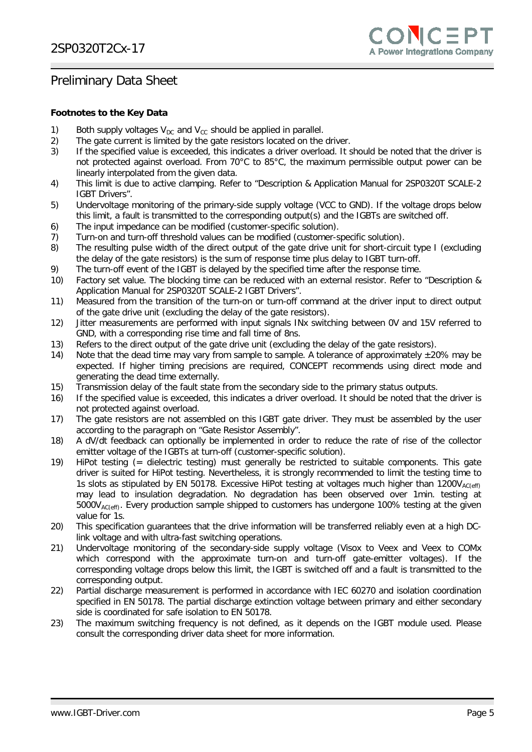#### **Footnotes to the Key Data**

- 
- 1) Both supply voltages  $V_{DC}$  and  $V_{CC}$  should be applied in parallel.<br>2) The gate current is limited by the gate resistors located on the 2) The gate current is limited by the gate resistors located on the driver.<br>3) If the specified value is exceeded, this indicates a driver overload. It s
- If the specified value is exceeded, this indicates a driver overload. It should be noted that the driver is not protected against overload. From 70°C to 85°C, the maximum permissible output power can be linearly interpolated from the given data.
- 4) This limit is due to active clamping. Refer to "Description & Application Manual for 2SP0320T SCALE-2 IGBT Drivers".
- 5) Undervoltage monitoring of the primary-side supply voltage (VCC to GND). If the voltage drops below this limit, a fault is transmitted to the corresponding output(s) and the IGBTs are switched off.
- 6) The input impedance can be modified (customer-specific solution).
- 7) Turn-on and turn-off threshold values can be modified (customer-specific solution).
- 8) The resulting pulse width of the direct output of the gate drive unit for short-circuit type I (excluding the delay of the gate resistors) is the sum of response time plus delay to IGBT turn-off.
- 9) The turn-off event of the IGBT is delayed by the specified time after the response time.
- 10) Factory set value. The blocking time can be reduced with an external resistor. Refer to "Description & Application Manual for 2SP0320T SCALE-2 IGBT Drivers".
- 11) Measured from the transition of the turn-on or turn-off command at the driver input to direct output of the gate drive unit (excluding the delay of the gate resistors).
- 12) Jitter measurements are performed with input signals INx switching between 0V and 15V referred to GND, with a corresponding rise time and fall time of 8ns.
- 13) Refers to the direct output of the gate drive unit (excluding the delay of the gate resistors).
- 14) Note that the dead time may vary from sample to sample. A tolerance of approximately  $\pm 20\%$  may be expected. If higher timing precisions are required, CONCEPT recommends using direct mode and generating the dead time externally.
- 15) Transmission delay of the fault state from the secondary side to the primary status outputs.
- 16) If the specified value is exceeded, this indicates a driver overload. It should be noted that the driver is not protected against overload.
- 17) The gate resistors are not assembled on this IGBT gate driver. They must be assembled by the user according to the paragraph on "Gate Resistor Assembly".
- 18) A dV/dt feedback can optionally be implemented in order to reduce the rate of rise of the collector emitter voltage of the IGBTs at turn-off (customer-specific solution).
- 19) HiPot testing (= dielectric testing) must generally be restricted to suitable components. This gate driver is suited for HiPot testing. Nevertheless, it is strongly recommended to limit the testing time to 1s slots as stipulated by EN 50178. Excessive HiPot testing at voltages much higher than  $1200V_{AC(eff)}$ may lead to insulation degradation. No degradation has been observed over 1min. testing at 5000V<sub>AC(eff)</sub>. Every production sample shipped to customers has undergone 100% testing at the given value for 1s.
- 20) This specification guarantees that the drive information will be transferred reliably even at a high DClink voltage and with ultra-fast switching operations.
- 21) Undervoltage monitoring of the secondary-side supply voltage (Visox to Veex and Veex to COMx which correspond with the approximate turn-on and turn-off gate-emitter voltages). If the corresponding voltage drops below this limit, the IGBT is switched off and a fault is transmitted to the corresponding output.
- 22) Partial discharge measurement is performed in accordance with IEC 60270 and isolation coordination specified in EN 50178. The partial discharge extinction voltage between primary and either secondary side is coordinated for safe isolation to EN 50178.
- 23) The maximum switching frequency is not defined, as it depends on the IGBT module used. Please consult the corresponding driver data sheet for more information.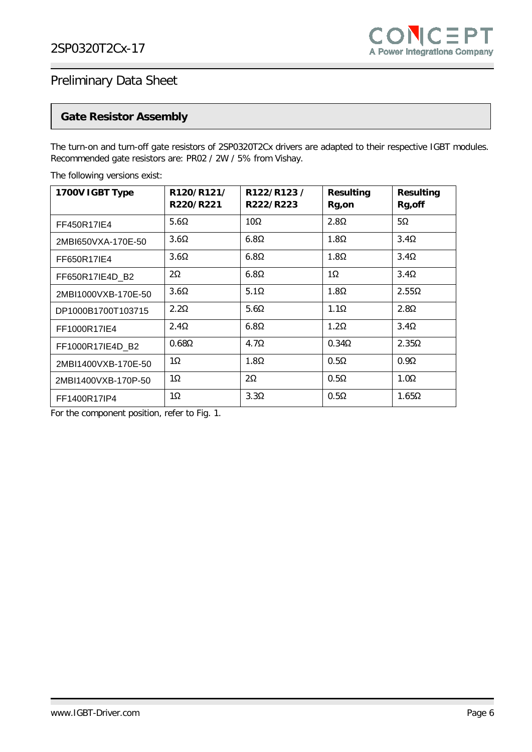

### **Gate Resistor Assembly**

The turn-on and turn-off gate resistors of 2SP0320T2Cx drivers are adapted to their respective IGBT modules. Recommended gate resistors are: PR02 / 2W / 5% from Vishay.

| 1700V IGBT Type     | R120/R121/<br>R220/R221 | R122/R123/<br>R222/R223 | <b>Resulting</b><br>Rg,on | <b>Resulting</b><br>Rg, off |
|---------------------|-------------------------|-------------------------|---------------------------|-----------------------------|
| FF450R17IE4         | 5.6 $\Omega$            | $10\Omega$              | $2.8\Omega$               | $5\Omega$                   |
| 2MBI650VXA-170E-50  | $3.6\Omega$             | $6.8\Omega$             | $1.8\Omega$               | $3.4\Omega$                 |
| FF650R17IE4         | $3.6\Omega$             | $6.8\Omega$             | $1.8\Omega$               | $3.4\Omega$                 |
| FF650R17IE4D B2     | $2\Omega$               | $6.8\Omega$             | $1\Omega$                 | $3.4\Omega$                 |
| 2MBI1000VXB-170E-50 | $3.6\Omega$             | $5.1\Omega$             | $1.8\Omega$               | $2.55\Omega$                |
| DP1000B1700T103715  | $2.2\Omega$             | $5.6\Omega$             | $1.1\Omega$               | $2.8\Omega$                 |
| FF1000R17IE4        | $2.4\Omega$             | $6.8\Omega$             | $1.2\Omega$               | $3.4\Omega$                 |
| FF1000R17IE4D B2    | $0.68\Omega$            | $4.7\Omega$             | $0.34\Omega$              | $2.35\Omega$                |
| 2MBI1400VXB-170E-50 | 1Ω                      | $1.8\Omega$             | $0.5\Omega$               | $0.9\Omega$                 |
| 2MBI1400VXB-170P-50 | 1Ω                      | $2\Omega$               | $0.5\Omega$               | $1.0\Omega$                 |
| FF1400R17IP4        | $1\Omega$               | $3.3\Omega$             | $0.5\Omega$               | $1.65\Omega$                |

The following versions exist:

For the component position, refer to Fig. 1.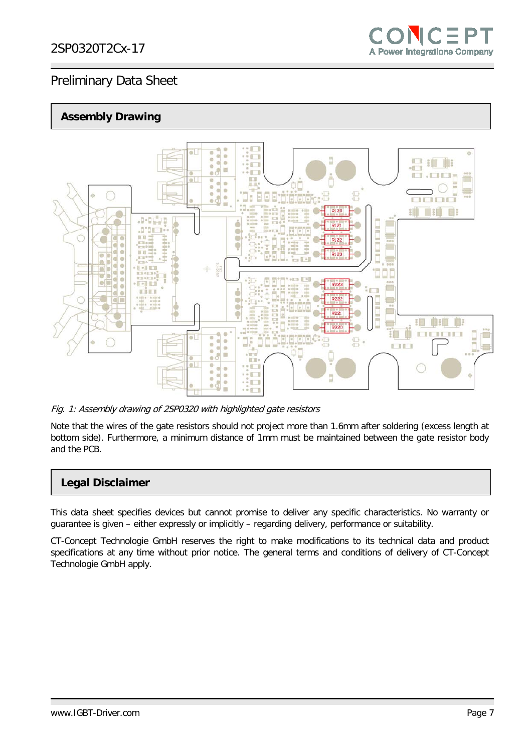### **Assembly Drawing**



Fig. 1: Assembly drawing of 2SP0320 with highlighted gate resistors

Note that the wires of the gate resistors should not project more than 1.6mm after soldering (excess length at bottom side). Furthermore, a minimum distance of 1mm must be maintained between the gate resistor body and the PCB.

### **Legal Disclaimer**

This data sheet specifies devices but cannot promise to deliver any specific characteristics. No warranty or guarantee is given – either expressly or implicitly – regarding delivery, performance or suitability.

CT-Concept Technologie GmbH reserves the right to make modifications to its technical data and product specifications at any time without prior notice. The general terms and conditions of delivery of CT-Concept Technologie GmbH apply.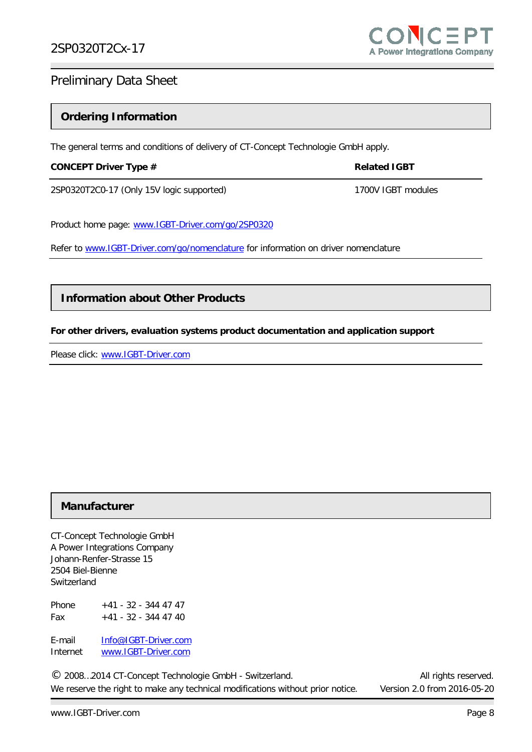### **Ordering Information**

The general terms and conditions of delivery of CT-Concept Technologie GmbH apply.

#### **CONCEPT Driver Type # Related IGBT**

2SP0320T2C0-17 (Only 15V logic supported) 1700V IGBT modules

Product home page: [www.IGBT-Driver.com/go/2SP0320](http://www.igbt-driver.com/go/2SP0320) 

Refer to [www.IGBT-Driver.com/go/nomenclature](http://www.igbt-driver.com/go/nomenclature) for information on driver nomenclature

### **Information about Other Products**

#### **For other drivers, evaluation systems product documentation and application support**

Please click: [www.IGBT-Driver.com](http://www.igbt-driver.com/) 

#### **Manufacturer**

CT-Concept Technologie GmbH A Power Integrations Company Johann-Renfer-Strasse 15 2504 Biel-Bienne Switzerland

Phone  $+41 - 32 - 344 47 47$ Fax  $+41 - 32 - 344 47 40$ 

E-mail [Info@IGBT-Driver.com](mailto:Info@IGBT-Driver.com) Internet [www.IGBT-Driver.com](http://www.igbt-driver.com/)

© 2008...2014 CT-Concept Technologie GmbH - Switzerland. <br>
C 2008...2014 CT-Concept Technologie GmbH - Switzerland. We reserve the right to make any technical modifications without prior notice. Version 2.0 from 2016-05-20